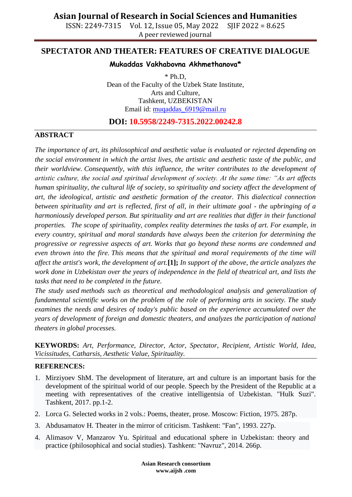ISSN: 2249-7315 Vol. 12, Issue 05, May 2022 SJIF 2022 = 8.625 A peer reviewed journal

## **SPECTATOR AND THEATER: FEATURES OF CREATIVE DIALOGUE**

### **Mukaddas Vakhabovna Akhmethanova\***

 $*$  Ph.D. Dean of the Faculty of the Uzbek State Institute, Arts and Culture, Tashkent, UZBEKISTAN Email id: [muqaddas\\_6919@mail.ru](mailto:muqaddas_6919@mail.ru)

**DOI: 10.5958/2249-7315.2022.00242.8**

### **ABSTRACT**

*The importance of art, its philosophical and aesthetic value is evaluated or rejected depending on the social environment in which the artist lives, the artistic and aesthetic taste of the public, and their worldview. Consequently, with this influence, the writer contributes to the development of artistic culture, the social and spiritual development of society. At the same time: "As art affects human spirituality, the cultural life of society, so spirituality and society affect the development of art, the ideological, artistic and aesthetic formation of the creator. This dialectical connection between spirituality and art is reflected, first of all, in their ultimate goal - the upbringing of a harmoniously developed person. But spirituality and art are realities that differ in their functional properties. The scope of spirituality, complex reality determines the tasks of art. For example, in every country, spiritual and moral standards have always been the criterion for determining the progressive or regressive aspects of art. Works that go beyond these norms are condemned and even thrown into the fire. This means that the spiritual and moral requirements of the time will affect the artist's work, the development of art.***[1];** *In support of the above, the article analyzes the work done in Uzbekistan over the years of independence in the field of theatrical art, and lists the tasks that need to be completed in the future.*

*The study used methods such as theoretical and methodological analysis and generalization of fundamental scientific works on the problem of the role of performing arts in society. The study examines the needs and desires of today's public based on the experience accumulated over the years of development of foreign and domestic theaters, and analyzes the participation of national theaters in global processes.*

**KEYWORDS:** *Art, Performance, Director, Actor, Spectator, Recipient, Artistic World, Idea, Vicissitudes, Catharsis, Aesthetic Value, Spirituality.*

### **REFERENCES:**

- 1. Mirziyoev ShM. The development of literature, art and culture is an important basis for the development of the spiritual world of our people. Speech by the President of the Republic at a meeting with representatives of the creative intelligentsia of Uzbekistan. "Hulk Suzi". Tashkent, 2017. pp.1-2.
- 2. Lorca G. Selected works in 2 vols.: Poems, theater, prose. Moscow: Fiction, 1975. 287p.
- 3. Abdusamatov H. Theater in the mirror of criticism. Tashkent: "Fan", 1993. 227p.
- 4. Alimasov V, Manzarov Yu. Spiritual and educational sphere in Uzbekistan: theory and practice (philosophical and social studies). Tashkent: "Navruz", 2014. 266p.